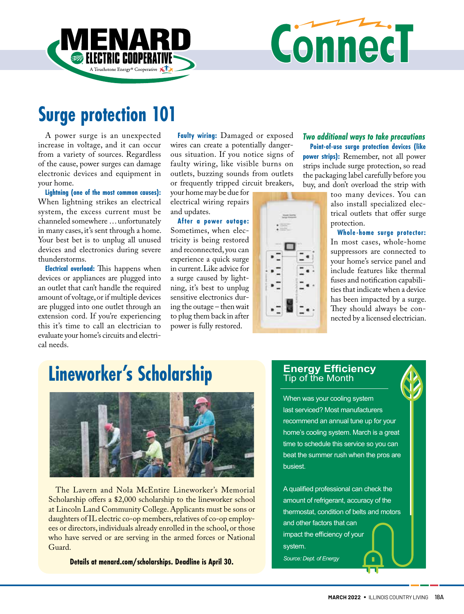

# Connect

# **Surge protection 101**

A power surge is an unexpected increase in voltage, and it can occur from a variety of sources. Regardless of the cause, power surges can damage electronic devices and equipment in your home.

**Lightning (one of the most common causes):**  When lightning strikes an electrical system, the excess current must be channeled somewhere … unfortunately in many cases, it's sent through a home. Your best bet is to unplug all unused devices and electronics during severe thunderstorms.

**Electrical overload:** This happens when devices or appliances are plugged into an outlet that can't handle the required amount of voltage, or if multiple devices are plugged into one outlet through an extension cord. If you're experiencing this it's time to call an electrician to evaluate your home's circuits and electrical needs.

**Faulty wiring:** Damaged or exposed wires can create a potentially dangerous situation. If you notice signs of faulty wiring, like visible burns on outlets, buzzing sounds from outlets or frequently tripped circuit breakers,

your home may be due for electrical wiring repairs and updates.

**After a power outage:** Sometimes, when electricity is being restored and reconnected, you can experience a quick surge in current. Like advice for a surge caused by lightning, it's best to unplug sensitive electronics during the outage – then wait to plug them back in after power is fully restored.

*Two additional ways to take precautions*  **Point-of-use surge protection devices (like power strips):** Remember, not all power strips include surge protection, so read the packaging label carefully before you buy, and don't overload the strip with

too many devices. You can also install specialized electrical outlets that offer surge protection.

 **Whole-home surge protector:** In most cases, whole-home suppressors are connected to your home's service panel and include features like thermal fuses and notification capabilities that indicate when a device has been impacted by a surge. They should always be connected by a licensed electrician.

# **Lineworker's Scholarship**



The Lavern and Nola McEntire Lineworker's Memorial Scholarship offers a \$2,000 scholarship to the lineworker school at Lincoln Land Community College. Applicants must be sons or daughters of IL electric co-op members, relatives of co-op employees or directors, individuals already enrolled in the school, or those who have served or are serving in the armed forces or National Guard.

**Details at menard.com/scholarships. Deadline is April 30.**

### **Energy Efficiency** Tip of the Month

When was your cooling system last serviced? Most manufacturers recommend an annual tune up for your home's cooling system. March is a great time to schedule this service so you can beat the summer rush when the pros are busiest.

A qualified professional can check the amount of refrigerant, accuracy of the thermostat, condition of belts and motors and other factors that can impact the efficiency of your system. *Source: Dept. of Energy*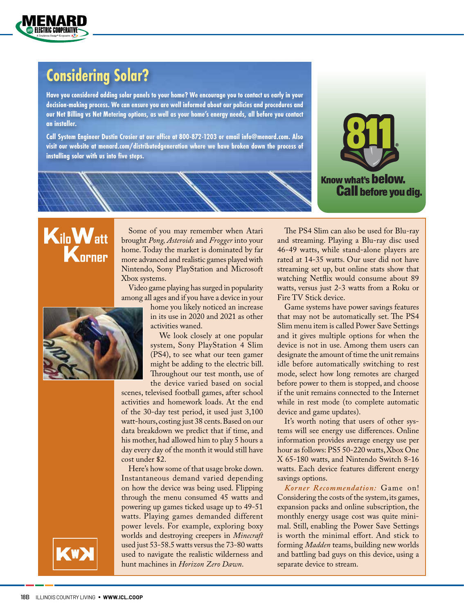

### **Considering Solar?**

**Have you considered adding solar panels to your home? We encourage you to contact us early in your decision-making process. We can ensure you are well informed about our policies and procedures and our Net Billing vs Net Metering options, as well as your home's energy needs, all before you contact an installer.** 

**Call System Engineer Dustin Crosier at our office at 800-872-1203 or email info@menard.com. Also visit our website at menard.com/distributedgeneration where we have broken down the process of installing solar with us into five steps.** 



## **KiloWatt K** orner

Some of you may remember when Atari brought *Pong, Asteroids* and *Frogger* into your home. Today the market is dominated by far more advanced and realistic games played with Nintendo, Sony PlayStation and Microsoft Xbox systems.

Video game playing has surged in popularity among all ages and if you have a device in your



home you likely noticed an increase in its use in 2020 and 2021 as other activities waned.

We look closely at one popular system, Sony PlayStation 4 Slim (PS4), to see what our teen gamer might be adding to the electric bill. Throughout our test month, use of the device varied based on social

scenes, televised football games, after school activities and homework loads. At the end of the 30-day test period, it used just 3,100 watt-hours, costing just 38 cents. Based on our data breakdown we predict that if time, and his mother, had allowed him to play 5 hours a day every day of the month it would still have cost under \$2.

Here's how some of that usage broke down. Instantaneous demand varied depending on how the device was being used. Flipping through the menu consumed 45 watts and powering up games ticked usage up to 49-51 watts. Playing games demanded different power levels. For example, exploring boxy worlds and destroying creepers in *Minecraft*  used just 53-58.5 watts versus the 73-80 watts used to navigate the realistic wilderness and hunt machines in *Horizon Zero Dawn*.

The PS4 Slim can also be used for Blu-ray and streaming. Playing a Blu-ray disc used 46-49 watts, while stand-alone players are rated at 14-35 watts. Our user did not have streaming set up, but online stats show that watching Netflix would consume about 89 watts, versus just 2-3 watts from a Roku or Fire TV Stick device.

Game systems have power savings features that may not be automatically set. The PS4 Slim menu item is called Power Save Settings and it gives multiple options for when the device is not in use. Among them users can designate the amount of time the unit remains idle before automatically switching to rest mode, select how long remotes are charged before power to them is stopped, and choose if the unit remains connected to the Internet while in rest mode (to complete automatic device and game updates).

It's worth noting that users of other systems will see energy use differences. Online information provides average energy use per hour as follows: PS5 50-220 watts, Xbox One X 65-180 watts, and Nintendo Switch 8-16 watts. Each device features different energy savings options.

*Korner Recommendation:* Game on! Considering the costs of the system, its games, expansion packs and online subscription, the monthly energy usage cost was quite minimal. Still, enabling the Power Save Settings is worth the minimal effort. And stick to forming *Madden* teams, building new worlds and battling bad guys on this device, using a separate device to stream.

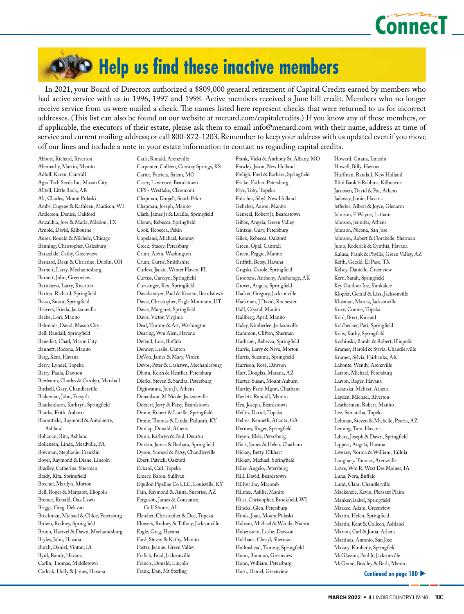

# **DXO Help us find these inactive members**

In 2021, your Board of Directors authorized a \$809,000 general retirement of Capital Credits earned by members who had active service with us in 1996, 1997 and 1998. Active members received a June bill credit. Members who no longer receive service from us were mailed a check. The names listed here represent checks that were returned to us for incorrect addresses. (This list can also be found on our website at menard.com/capitalcredits.) If you know any of these members, or if applicable, the executors of their estate, please ask them to email info@menard.com with their name, address at time of service and current mailing address; or call 800-872-1203. Remember to keep your address with us updated even if you move off our lines and include a note in your estate information to contact us regarding capital credits.

Abbott, Richard, Riverton Abernathy, Martin, Manito Adloff, Karen, Cantrall Agra Tech Seeds Inc, Mason City Alltell, Little Rock, AR Alt, Charles, Mount Pulaski Ambs, Eugene & Kathleen, Madison, WI Anderson, Denise, Oakford Anzaldua, Jose & Maria, Mission, TX Arnold, David, Kilbourne Aures, Ronald & Michele, Chicago Banning, Christopher, Galesburg Barksdale, Cathy, Greenview Barnard, Dean & Christine, Dublin, OH Barnett, Larry, Mechanicsburg Barnett, John, Greenview Bartolazzi, Larry, Riverton Barton, Richard, Springfield Basso, Susan, Springfield Beavers, Frieda, Jacksonville Beebe, Lori, Manito Behrends, David, Mason City Bell, Randall, Springfield Benedict, Chad, Mason City Bennett, Rodona, Manito Berg, Kent, Havana Berry, Lyndel, Topeka Berry, Paula, Dawson Bierbaum, Charles & Carolyn, Marshall Birdsell, Gary, Chandlerville Blakeman, John, Forsyth Blankenhorn, Kathryn, Springfield Blanks, Faith, Auburn Bloomfield, Raymond & Antoinette, Ashland Bohanan, Rita, Ashland Bollensen, Linda, Meadville, PA Bowman, Stephanie, Franklin Boyer, Raymond & Diane, Lincoln Bradley, Catherine, Sherman Brady, Rita, Springfield Brecher, Marilyn, Morton Bell, Roger & Margaret, Illiopolis Bremer, Ronald, Oak Lawn Briggs, Greg, Delavan Brockman, Michael & Chloe, Petersburg Brown, Rodney, Springfield Bruno, Hartzel & Dawn, Mechanicsburg Bryles, John, Havana Burch, Daniel, Vinton, IA Byrd, Randy, Havana Carlin, Thomas, Middletown Carlock, Holly & James, Havana

Carls, Ronald, Arenzville Carpenter, Colleen, Conway Springs, KS Carter, Patricia, Salem, MO Casey, Lawrence, Beardstown CFS - Westlake, Claremont Chapman, Donjell, South Pekin Chapman, Joseph, Manito Clark, James Jr & Lucille, Springfield Cloney, Rebecca, Springfield Cook, Rebecca, Pekin Copeland, Michael, Kenney Creek, Stacey, Petersburg Crum, Alvin, Washington Crum, Curtis, Smithshire Curless, Jackie, Winter Haven, FL Curtiss, Carolyn, Springfield Curtsinger, Rex, Springfield Davidsmeyer, Paul & Kirsten, Beardstown Davis, Christopher, Eagle Mountain, UT Davis, Margaret, Springfield Davis, Victor, Virginia Deal, Tammy & Art, Washington Dearing, Wm Alen, Havana Defend, Lois, Buffalo Denney, Leslie, Canton DeVon, James & Mary, Virden Devos, Peter & Lashawn, Mechanicsburg Dhom, Keith & Heather, Petersburg Dierks, Steven & Sandra, Petersburg Digiovanna, John Jr, Athens Donaldson, M Nicole, Jacksonville Dotzert, Jerry & Patsy, Beardstown Drone, Robert & Lucille, Springfield Drone, Thomas & Linda, Paducah, KY Dunlap, Donald, Athens Dunn, Kathryn & Paul, Decatur Durkin, James & Barbara, Springfield Dyson, Samuel & Patsy, Chandlerville Ebert, Patrick, Oakford Eckard, Carl, Topeka Emery, Baron, Sullivan Equilon Pipeline Co LLC, Louisville, KY Fain, Raymond & Anita, Surprise, AZ Ferguson, James & Constance, Gulf Shores, AL Fletcher, Christopher & Dee, Topeka Flowers, Rodney & Tiffany, Jacksonville Fogle, Greg, Havana Ford, Steven & Kathy, Manito Foster, Jeanne, Green Valley Fralick, Brad, Jacksonville

Francis, Donald, Lincoln Frank, Dan, Mt Sterling

Frank, Vicki & Anthony Sr, Albany, MO Frawley, Jason, New Holland Freligh, Fred & Barbara, Springfield Fricke, Esther, Petersburg Frye, Toby, Topeka Fulscher, Sibyl, New Holland Geheber, Aaron, Manito Genseal, Robert Jr, Beardstown Gibbs, Angela, Green Valley Gintzig, Gary, Petersburg Glick, Rebecca, Oakford Green, Opal, Cantrall Green, Peggie, Manito Griffith, Betsy, Havana Grigski, Carole, Springfield Grootens, Anthony, Anchorage, AK Grover, Angela, Springfield Hacker, Gregory, Jacksonville Hackman, J David, Rochester Hall, Crystal, Manito Hallberg, April, Manito Haley, Kimberlee, Jacksonville Hammon, Clifton, Sherman Harbauer, Rebecca, Springfield Harris, Larry & Neva, Morton Harris, Suzanne, Springfield Harrison, Rose, Dawson Hart, Douglas, Marana, AZ Harter, Susan, Mount Auburn Hartley Farm Mgmt, Chatham Hazlett, Randall, Manito Hea, Joseph, Beardstown Heflin, Darrel, Topeka Helms, Kenneth, Atlanta, GA Hermes, Roger, Springfield Heyen, Elsie, Petersburg Hiatt, James & Helen, Chatham Hickey, Betty, Elkhart Hickey, Michael, Springfield Hiler, Angelo, Petersburg Hill, David, Beardstown Hillyer Inc, Macomb Hilmes, Ashlie, Manito Hilst, Christopher, Brookfield, WI Hincks, Glen, Petersburg Hinds, Joan, Mount Pulaski Hobson, Michael & Wanda, Niantic Hohenstein, Leslie, Dawson Holthaus, Cheryl, Sherman Hollinshead, Tammy, Springfield Honn, Brandon, Greenview Honn, William, Petersburg Horn, Daniel, Greenview

Howard, Gitana, Lincoln Howell, Billy, Havana Huffman, Randall, New Holland Illini Bank %Robbins, Kilbourne Jacobsen, David & Pat, Athens Jadaway, Jamie, Havana Jefferies, Albert & Joyce, Glenarm Johnson, F Wayne, Latham Johnson, Jennifer, Athens Johnson, Nicona, San Jose Johnson, Robert & Florabelle, Sherman Jump, Roderick & Cynthia, Havana Kalusa, Frank & Phyllis, Green Valley, AZ Keith, Gerald, El Paso, TX Kelsey, Danielle, Greenview Kern, Sarah, Springfield Key Outdoor Inc, Kankakee Klopfer, Gerald & Lisa, Jacksonville Klusman, Marcia, Jacksonville Knee, Connie, Topeka Kohl, Brett, Kincaid Kohlbecker, Pati, Springfield Kolis, Kathy, Springfield Koshinski, Bambi & Robert, Illiopolis Kramer, Harold & Sylvia, Chandlerville Kramer, Sylvia, Fairbanks, AK Labonte, Wendy, Arenzville Larson, Michael, Petersburg Larson, Roger, Havana Lasanska, Melissa, Athens Layden, Michael, Riverton Leatherman, Robert, Manito Lee, Samantha, Topeka Lehman, Steven & Michelle, Peoria, AZ Leming, Tara, Havana Libera, Joseph & Dawn, Springfield Lippert, Angela, Havana Livezey, Norma & William, Tallula Loughary, Thomas, Arenzville Lowe, Wm R, West Des Moines, IA Luna, Nora, Buffalo Lund, Clara, Chandlerville Mackenzie, Kevin, Pleasant Plains Manker, Isabel, Springfield Markee, Adam, Greenview Martin, Helen, Springfield Martin, Kent & Colleen, Ashland Marion, Carl & Junia, Athens Martines, Antonio, San Jose Massey, Kimberly, Springfield McGlasson, Paul Jr, Jacksonville McGrane, Bradley & Beth, Manito

**Continued on page 18D**